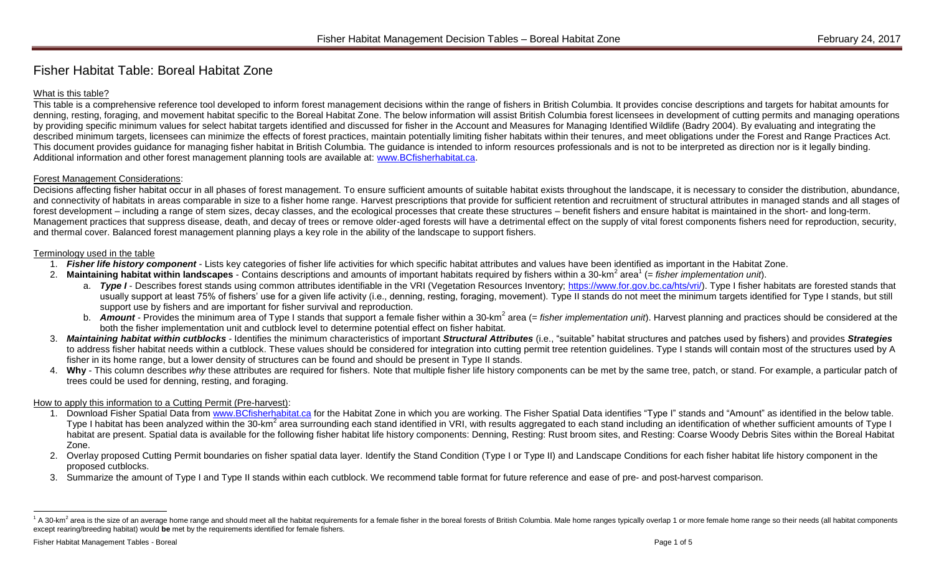# Fisher Habitat Table: Boreal Habitat Zone

# What is this table?

This table is a comprehensive reference tool developed to inform forest management decisions within the range of fishers in British Columbia. It provides concise descriptions and targets for habitat amounts for denning, resting, foraging, and movement habitat specific to the Boreal Habitat Zone. The below information will assist British Columbia forest licensees in development of cutting permits and managing operations by providing specific minimum values for select habitat targets identified and discussed for fisher in the Account and Measures for Managing Identified Wildlife (Badry 2004). By evaluating and integrating the described minimum targets, licensees can minimize the effects of forest practices, maintain potentially limiting fisher habitats within their tenures, and meet obligations under the Forest and Range Practices Act. This document provides guidance for managing fisher habitat in British Columbia. The guidance is intended to inform resources professionals and is not to be interpreted as direction nor is it legally binding. Additional information and other forest management planning tools are available at: [www.BCfisherhabitat.ca.](http://www.bcfisherhabitat.ca/)

## Forest Management Considerations:

Decisions affecting fisher habitat occur in all phases of forest management. To ensure sufficient amounts of suitable habitat exists throughout the landscape, it is necessary to consider the distribution, abundance, and connectivity of habitats in areas comparable in size to a fisher home range. Harvest prescriptions that provide for sufficient retention and recruitment of structural attributes in managed stands and all stages of forest development – including a range of stem sizes, decay classes, and the ecological processes that create these structures – benefit fishers and ensure habitat is maintained in the short- and long-term. Management practices that suppress disease, death, and decay of trees or remove older-aged forests will have a detrimental effect on the supply of vital forest components fishers need for reproduction, security, and thermal cover. Balanced forest management planning plays a key role in the ability of the landscape to support fishers.

#### Terminology used in the table

- 1. *Fisher life history component* Lists key categories of fisher life activities for which specific habitat attributes and values have been identified as important in the Habitat Zone.
- 2. Maintaining habitat within landscapes Contains descriptions and amounts of important habitats required by fishers within a 30-km<sup>2</sup> area<sup>1</sup> (= *fisher implementation unit*).
	- a. *Type I* Describes forest stands using common attributes identifiable in the VRI (Vegetation Resources Inventory; [https://www.for.gov.bc.ca/hts/vri/\)](https://www.for.gov.bc.ca/hts/vri/). Type I fisher habitats are forested stands that usually support at least 75% of fishers' use for a given life activity (i.e., denning, resting, foraging, movement). Type II stands do not meet the minimum targets identified for Type I stands, but still support use by fishers and are important for fisher survival and reproduction.
	- b. **Amount** Provides the minimum area of Type I stands that support a female fisher within a 30-km<sup>2</sup> area (= *fisher implementation unit*). Harvest planning and practices should be considered at the both the fisher implementation unit and cutblock level to determine potential effect on fisher habitat.
- 3. Maintaining habitat within cutblocks Identifies the minimum characteristics of important Structural Attributes (i.e., "suitable" habitat structures and patches used by fishers) and provides Strategies to address fisher habitat needs within a cutblock. These values should be considered for integration into cutting permit tree retention guidelines. Type I stands will contain most of the structures used by A fisher in its home range, but a lower density of structures can be found and should be present in Type II stands.
- 4. Why This column describes *why* these attributes are required for fishers. Note that multiple fisher life history components can be met by the same tree, patch, or stand. For example, a particular patch of trees could be used for denning, resting, and foraging.

## How to apply this information to a Cutting Permit (Pre-harvest):

- 1. Download Fisher Spatial Data from [www.BCfisherhabitat.ca](http://www.bcfisherhabitat.ca/) for the Habitat Zone in which you are working. The Fisher Spatial Data identifies "Type I" stands and "Amount" as identified in the below table. Type I habitat has been analyzed within the 30-km<sup>2</sup> area surrounding each stand identified in VRI, with results aggregated to each stand including an identification of whether sufficient amounts of Type I habitat are present. Spatial data is available for the following fisher habitat life history components: Denning, Resting: Rust broom sites, and Resting: Coarse Woody Debris Sites within the Boreal Habitat Zone.
- 2. Overlay proposed Cutting Permit boundaries on fisher spatial data layer. Identify the Stand Condition (Type I or Type II) and Landscape Conditions for each fisher habitat life history component in the proposed cutblocks.
- 3. Summarize the amount of Type I and Type II stands within each cutblock. We recommend table format for future reference and ease of pre- and post-harvest comparison.

 $\overline{a}$ 

 $1 A$  30-km<sup>2</sup> area is the size of an average home range and should meet all the habitat requirements for a female fisher in the boreal forests of British Columbia. Male home ranges typically overlap 1 or more female home except rearing/breeding habitat) would **be** met by the requirements identified for female fishers.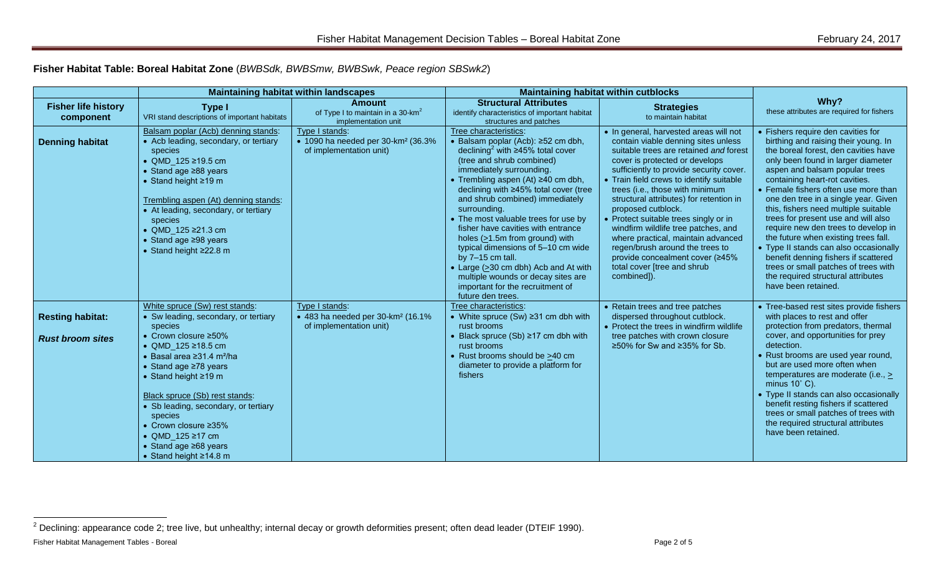**Fisher Habitat Table: Boreal Habitat Zone** (*BWBSdk, BWBSmw, BWBSwk, Peace region SBSwk2*)

|                                                    |                                                                                                                                                                                                                                                                                                                                                                                                         | <b>Maintaining habitat within landscapes</b>                                                |                                                                                                                                                                                                                                                                                                                                                                                                                                                                                                                                                                                                                                 | <b>Maintaining habitat within cutblocks</b>                                                                                                                                                                                                                                                                                                                                                                                                                                                                                                                                                    |                                                                                                                                                                                                                                                                                                                                                                                                                                                                                                                                                                                                                                                                   |
|----------------------------------------------------|---------------------------------------------------------------------------------------------------------------------------------------------------------------------------------------------------------------------------------------------------------------------------------------------------------------------------------------------------------------------------------------------------------|---------------------------------------------------------------------------------------------|---------------------------------------------------------------------------------------------------------------------------------------------------------------------------------------------------------------------------------------------------------------------------------------------------------------------------------------------------------------------------------------------------------------------------------------------------------------------------------------------------------------------------------------------------------------------------------------------------------------------------------|------------------------------------------------------------------------------------------------------------------------------------------------------------------------------------------------------------------------------------------------------------------------------------------------------------------------------------------------------------------------------------------------------------------------------------------------------------------------------------------------------------------------------------------------------------------------------------------------|-------------------------------------------------------------------------------------------------------------------------------------------------------------------------------------------------------------------------------------------------------------------------------------------------------------------------------------------------------------------------------------------------------------------------------------------------------------------------------------------------------------------------------------------------------------------------------------------------------------------------------------------------------------------|
| <b>Fisher life history</b><br>component            | <b>Type I</b><br>VRI stand descriptions of important habitats                                                                                                                                                                                                                                                                                                                                           | <b>Amount</b><br>of Type I to maintain in a 30-km <sup>2</sup><br>implementation unit       | <b>Structural Attributes</b><br>identify characteristics of important habitat<br>structures and patches                                                                                                                                                                                                                                                                                                                                                                                                                                                                                                                         | <b>Strategies</b><br>to maintain habitat                                                                                                                                                                                                                                                                                                                                                                                                                                                                                                                                                       | Why?<br>these attributes are required for fishers                                                                                                                                                                                                                                                                                                                                                                                                                                                                                                                                                                                                                 |
| <b>Denning habitat</b>                             | Balsam poplar (Acb) denning stands:<br>• Acb leading, secondary, or tertiary<br>species<br>• QMD_125 ≥19.5 cm<br>• Stand age $\geq 88$ years<br>• Stand height $\geq 19$ m<br>Trembling aspen (At) denning stands:<br>• At leading, secondary, or tertiary<br>species<br>• QMD_125 ≥21.3 cm<br>$\bullet$ Stand age $\geq$ 98 years<br>• Stand height $\geq$ 22.8 m                                      | Type I stands:<br>• 1090 ha needed per 30-km <sup>2</sup> (36.3%<br>of implementation unit) | Tree characteristics:<br>• Balsam poplar (Acb): ≥52 cm dbh,<br>declining <sup>2</sup> with $\geq$ 45% total cover<br>(tree and shrub combined)<br>immediately surrounding.<br>Trembling aspen (At) ≥40 cm dbh,<br>declining with ≥45% total cover (tree<br>and shrub combined) immediately<br>surrounding.<br>• The most valuable trees for use by<br>fisher have cavities with entrance<br>holes $(21.5m$ from ground) with<br>typical dimensions of 5-10 cm wide<br>by $7-15$ cm tall.<br>• Large (>30 cm dbh) Acb and At with<br>multiple wounds or decay sites are<br>important for the recruitment of<br>future den trees. | • In general, harvested areas will not<br>contain viable denning sites unless<br>suitable trees are retained and forest<br>cover is protected or develops<br>sufficiently to provide security cover.<br>• Train field crews to identify suitable<br>trees (i.e., those with minimum<br>structural attributes) for retention in<br>proposed cutblock.<br>• Protect suitable trees singly or in<br>windfirm wildlife tree patches, and<br>where practical, maintain advanced<br>regen/brush around the trees to<br>provide concealment cover (≥45%<br>total cover [tree and shrub<br>combined]). | • Fishers require den cavities for<br>birthing and raising their young. In<br>the boreal forest, den cavities have<br>only been found in larger diameter<br>aspen and balsam popular trees<br>containing heart-rot cavities.<br>• Female fishers often use more than<br>one den tree in a single year. Given<br>this, fishers need multiple suitable<br>trees for present use and will also<br>require new den trees to develop in<br>the future when existing trees fall.<br>• Type II stands can also occasionally<br>benefit denning fishers if scattered<br>trees or small patches of trees with<br>the required structural attributes<br>have been retained. |
| <b>Resting habitat:</b><br><b>Rust broom sites</b> | White spruce (Sw) rest stands:<br>• Sw leading, secondary, or tertiary<br>species<br>• Crown closure $\geq 50\%$<br>• QMD_125 $\ge$ 18.5 cm<br>$\bullet$ Basal area $\geq$ 31.4 m <sup>2</sup> /ha<br>• Stand age $\geq 78$ years<br>• Stand height $\geq 19$ m<br>Black spruce (Sb) rest stands:<br>• Sb leading, secondary, or tertiary<br>species<br>• Crown closure $\geq 35\%$<br>• QMD_125 ≥17 cm | Type I stands:<br>• 483 ha needed per 30-km <sup>2</sup> (16.1%<br>of implementation unit)  | Tree characteristics:<br>• White spruce (Sw) $\geq$ 31 cm dbh with<br>rust brooms<br>Black spruce $(Sb) \ge 17$ cm dbh with<br>rust brooms<br>Rust brooms should be >40 cm<br>diameter to provide a platform for<br>fishers                                                                                                                                                                                                                                                                                                                                                                                                     | • Retain trees and tree patches<br>dispersed throughout cutblock.<br>• Protect the trees in windfirm wildlife<br>tree patches with crown closure<br>≥50% for Sw and ≥35% for Sb.                                                                                                                                                                                                                                                                                                                                                                                                               | • Tree-based rest sites provide fishers<br>with places to rest and offer<br>protection from predators, thermal<br>cover, and opportunities for prey<br>detection.<br>• Rust brooms are used year round,<br>but are used more often when<br>temperatures are moderate (i.e., $\ge$<br>minus $10^{\circ}$ C).<br>• Type II stands can also occasionally<br>benefit resting fishers if scattered<br>trees or small patches of trees with<br>the required structural attributes<br>have been retained.                                                                                                                                                                |
|                                                    | $\bullet$ Stand age $\geq 68$ years<br>• Stand height $\geq 14.8$ m                                                                                                                                                                                                                                                                                                                                     |                                                                                             |                                                                                                                                                                                                                                                                                                                                                                                                                                                                                                                                                                                                                                 |                                                                                                                                                                                                                                                                                                                                                                                                                                                                                                                                                                                                |                                                                                                                                                                                                                                                                                                                                                                                                                                                                                                                                                                                                                                                                   |

 $\overline{a}$ 

Fisher Habitat Management Tables - Boreal Page 2 of 5  $^2$  Declining: appearance code 2; tree live, but unhealthy; internal decay or growth deformities present; often dead leader (DTEIF 1990).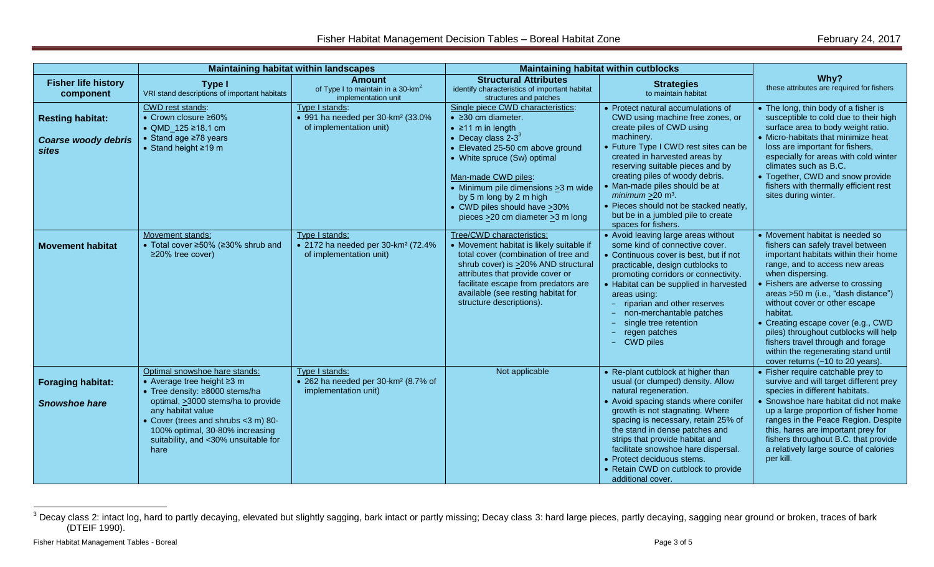|                                                                       |                                                                                                                                                                                                                                                                                    | <b>Maintaining habitat within landscapes</b>                                                      | <b>Maintaining habitat within cutblocks</b>                                                                                                                                                                                                                                                                                                                       |                                                                                                                                                                                                                                                                                                                                                                                                                                                |                                                                                                                                                                                                                                                                                                                                                                                                                                                                                        |
|-----------------------------------------------------------------------|------------------------------------------------------------------------------------------------------------------------------------------------------------------------------------------------------------------------------------------------------------------------------------|---------------------------------------------------------------------------------------------------|-------------------------------------------------------------------------------------------------------------------------------------------------------------------------------------------------------------------------------------------------------------------------------------------------------------------------------------------------------------------|------------------------------------------------------------------------------------------------------------------------------------------------------------------------------------------------------------------------------------------------------------------------------------------------------------------------------------------------------------------------------------------------------------------------------------------------|----------------------------------------------------------------------------------------------------------------------------------------------------------------------------------------------------------------------------------------------------------------------------------------------------------------------------------------------------------------------------------------------------------------------------------------------------------------------------------------|
| <b>Fisher life history</b><br>component                               | <b>Type I</b><br>VRI stand descriptions of important habitats                                                                                                                                                                                                                      | <b>Amount</b><br>of Type I to maintain in a 30-km <sup>2</sup><br>implementation unit             | <b>Structural Attributes</b><br>identify characteristics of important habitat<br>structures and patches                                                                                                                                                                                                                                                           | <b>Strategies</b><br>to maintain habitat                                                                                                                                                                                                                                                                                                                                                                                                       | Why?<br>these attributes are required for fishers                                                                                                                                                                                                                                                                                                                                                                                                                                      |
| <b>Resting habitat:</b><br><b>Coarse woody debris</b><br><b>sites</b> | CWD rest stands:<br>• Crown closure $\geq 60\%$<br>• QMD_125 ≥18.1 cm<br>• Stand age $\geq 78$ years<br>$\bullet$ Stand height $\geq$ 19 m                                                                                                                                         | Type I stands:<br>• 991 ha needed per 30-km <sup>2</sup> (33.0%<br>of implementation unit)        | Single piece CWD characteristics:<br>$\bullet$ $\geq$ 30 cm diameter.<br>$\bullet$ 211 m in length<br>• Decay class $2-3^3$<br>• Elevated 25-50 cm above ground<br>• White spruce (Sw) optimal<br>Man-made CWD piles:<br>• Minimum pile dimensions >3 m wide<br>by 5 m long by 2 m high<br>• CWD piles should have $\geq$ 30%<br>pieces >20 cm diameter >3 m long | Protect natural accumulations of<br>CWD using machine free zones, or<br>create piles of CWD using<br>machinery.<br>• Future Type I CWD rest sites can be<br>created in harvested areas by<br>reserving suitable pieces and by<br>creating piles of woody debris.<br>• Man-made piles should be at<br>minimum $\geq$ 20 m <sup>3</sup> .<br>• Pieces should not be stacked neatly,<br>but be in a jumbled pile to create<br>spaces for fishers. | • The long, thin body of a fisher is<br>susceptible to cold due to their high<br>surface area to body weight ratio.<br>• Micro-habitats that minimize heat<br>loss are important for fishers,<br>especially for areas with cold winter<br>climates such as B.C.<br>• Together, CWD and snow provide<br>fishers with thermally efficient rest<br>sites during winter.                                                                                                                   |
| <b>Movement habitat</b>                                               | Movement stands:<br>• Total cover ≥50% (≥30% shrub and<br>$\geq$ 20% tree cover)                                                                                                                                                                                                   | Type I stands:<br>• 2172 ha needed per 30-km <sup>2</sup> (72.4%<br>of implementation unit)       | Tree/CWD characteristics:<br>• Movement habitat is likely suitable if<br>total cover (combination of tree and<br>shrub cover) is >20% AND structural<br>attributes that provide cover or<br>facilitate escape from predators are<br>available (see resting habitat for<br>structure descriptions).                                                                | • Avoid leaving large areas without<br>some kind of connective cover.<br>• Continuous cover is best, but if not<br>practicable, design cutblocks to<br>promoting corridors or connectivity.<br>• Habitat can be supplied in harvested<br>areas using:<br>riparian and other reserves<br>non-merchantable patches<br>single tree retention<br>regen patches<br>- CWD piles                                                                      | • Movement habitat is needed so<br>fishers can safely travel between<br>important habitats within their home<br>range, and to access new areas<br>when dispersing.<br>Fishers are adverse to crossing<br>areas >50 m (i.e., "dash distance")<br>without cover or other escape<br>habitat.<br>Creating escape cover (e.g., CWD<br>piles) throughout cutblocks will help<br>fishers travel through and forage<br>within the regenerating stand until<br>cover returns (~10 to 20 years). |
| <b>Foraging habitat:</b><br><b>Snowshoe hare</b>                      | Optimal snowshoe hare stands:<br>• Average tree height ≥3 m<br>• Tree density: ≥8000 stems/ha<br>optimal, >3000 stems/ha to provide<br>any habitat value<br>• Cover (trees and shrubs <3 m) 80-<br>100% optimal, 30-80% increasing<br>suitability, and <30% unsuitable for<br>hare | Type I stands:<br>$\bullet$ 262 ha needed per 30-km <sup>2</sup> (8.7% of<br>implementation unit) | Not applicable                                                                                                                                                                                                                                                                                                                                                    | • Re-plant cutblock at higher than<br>usual (or clumped) density. Allow<br>natural regeneration.<br>• Avoid spacing stands where conifer<br>growth is not stagnating. Where<br>spacing is necessary, retain 25% of<br>the stand in dense patches and<br>strips that provide habitat and<br>facilitate snowshoe hare dispersal.<br>• Protect deciduous stems.<br>• Retain CWD on cutblock to provide<br>additional cover.                       | • Fisher require catchable prey to<br>survive and will target different prey<br>species in different habitats.<br>Snowshoe hare habitat did not make<br>up a large proportion of fisher home<br>ranges in the Peace Region. Despite<br>this, hares are important prey for<br>fishers throughout B.C. that provide<br>a relatively large source of calories<br>per kill.                                                                                                                |

 $^3$  Decay class 2: intact log, hard to partly decaying, elevated but slightly sagging, bark intact or partly missing; Decay class 3: hard large pieces, partly decaying, sagging near ground or broken, traces of bark (DTEIF 1990).

 $\overline{a}$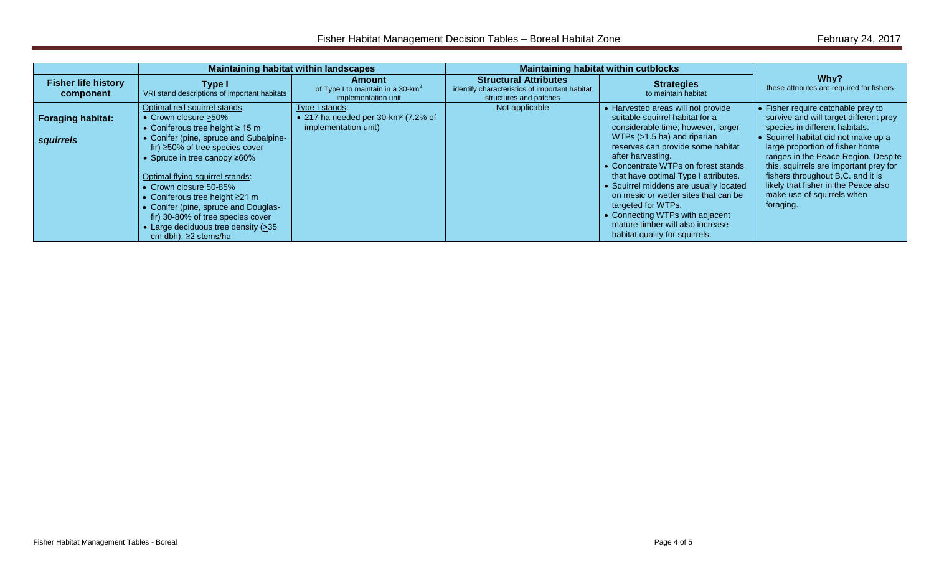|                                         |                                                                                                                                                                                                                             | <b>Maintaining habitat within landscapes</b>                                              |                                                                                                         | Maintaining habitat within cutblocks                                                                                                                                                                                                                   |                                                                                                                                                                                                                                                                     |
|-----------------------------------------|-----------------------------------------------------------------------------------------------------------------------------------------------------------------------------------------------------------------------------|-------------------------------------------------------------------------------------------|---------------------------------------------------------------------------------------------------------|--------------------------------------------------------------------------------------------------------------------------------------------------------------------------------------------------------------------------------------------------------|---------------------------------------------------------------------------------------------------------------------------------------------------------------------------------------------------------------------------------------------------------------------|
| <b>Fisher life history</b><br>component | Type I<br>VRI stand descriptions of important habitats                                                                                                                                                                      | Amount<br>of Type I to maintain in a 30-km <sup>2</sup><br>implementation unit            | <b>Structural Attributes</b><br>identify characteristics of important habitat<br>structures and patches | <b>Strategies</b><br>to maintain habitat                                                                                                                                                                                                               | Why?<br>these attributes are required for fishers                                                                                                                                                                                                                   |
| <b>Foraging habitat:</b>                | Optimal red squirrel stands:<br>• Crown closure > 50%<br>• Coniferous tree height $\geq 15$ m                                                                                                                               | Type I stands:<br>• 217 ha needed per 30-km <sup>2</sup> (7.2% of<br>implementation unit) | Not applicable                                                                                          | • Harvested areas will not provide<br>suitable squirrel habitat for a<br>considerable time; however, larger                                                                                                                                            | • Fisher require catchable prey to<br>survive and will target different prey<br>species in different habitats.                                                                                                                                                      |
| squirrels                               | • Conifer (pine, spruce and Subalpine-<br>fir) $\geq$ 50% of tree species cover<br>• Spruce in tree canopy $\geq 60\%$<br>Optimal flying squirrel stands:<br>• Crown closure 50-85%<br>• Coniferous tree height $\geq$ 21 m |                                                                                           |                                                                                                         | WTPs (>1.5 ha) and riparian<br>reserves can provide some habitat<br>after harvesting.<br>• Concentrate WTPs on forest stands<br>that have optimal Type I attributes.<br>• Squirrel middens are usually located<br>on mesic or wetter sites that can be | • Squirrel habitat did not make up a<br>large proportion of fisher home<br>ranges in the Peace Region. Despite<br>this, squirrels are important prey for<br>fishers throughout B.C. and it is<br>likely that fisher in the Peace also<br>make use of squirrels when |
|                                         | • Conifer (pine, spruce and Douglas-<br>fir) 30-80% of tree species cover<br>• Large deciduous tree density (>35<br>cm dbh): $\geq$ 2 stems/ha                                                                              |                                                                                           |                                                                                                         | targeted for WTPs.<br>• Connecting WTPs with adjacent<br>mature timber will also increase<br>habitat quality for squirrels.                                                                                                                            | foraging.                                                                                                                                                                                                                                                           |